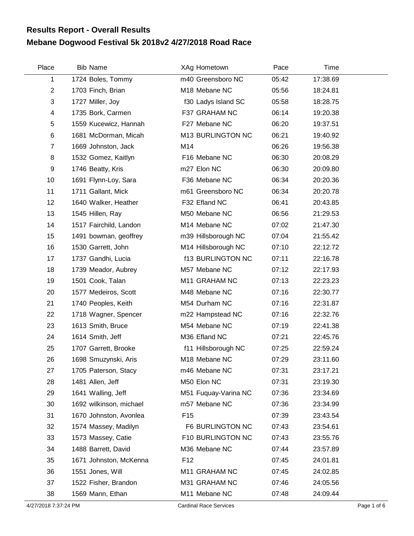## **Mebane Dogwood Festival 5k 2018v2 4/27/2018 Road Race Results Report - Overall Results**

| Place          | <b>Bib Name</b>         | XAg Hometown             | Pace  | Time     |  |
|----------------|-------------------------|--------------------------|-------|----------|--|
| 1              | 1724 Boles, Tommy       | m40 Greensboro NC        | 05:42 | 17:38.69 |  |
| $\overline{2}$ | 1703 Finch, Brian       | M18 Mebane NC            | 05:56 | 18:24.81 |  |
| 3              | 1727 Miller, Joy        | f30 Ladys Island SC      | 05:58 | 18:28.75 |  |
| 4              | 1735 Bork, Carmen       | F37 GRAHAM NC            | 06:14 | 19:20.38 |  |
| 5              | 1559 Kucewicz, Hannah   | F27 Mebane NC            | 06:20 | 19:37.51 |  |
| $\,6$          | 1681 McDorman, Micah    | M13 BURLINGTON NC        | 06:21 | 19:40.92 |  |
| $\overline{7}$ | 1669 Johnston, Jack     | M14                      | 06:26 | 19:56.38 |  |
| 8              | 1532 Gomez, Kaitlyn     | F16 Mebane NC            | 06:30 | 20:08.29 |  |
| 9              | 1746 Beatty, Kris       | m27 Elon NC              | 06:30 | 20:09.80 |  |
| 10             | 1691 Flynn-Loy, Sara    | F36 Mebane NC            | 06:34 | 20:20.36 |  |
| 11             | 1711 Gallant, Mick      | m61 Greensboro NC        | 06:34 | 20:20.78 |  |
| 12             | 1640 Walker, Heather    | F32 Efland NC            | 06:41 | 20:43.85 |  |
| 13             | 1545 Hillen, Ray        | M50 Mebane NC            | 06:56 | 21:29.53 |  |
| 14             | 1517 Fairchild, Landon  | M14 Mebane NC            | 07:02 | 21:47.30 |  |
| 15             | 1491 bowman, geoffrey   | m39 Hillsborough NC      | 07:04 | 21:55.42 |  |
| 16             | 1530 Garrett, John      | M14 Hillsborough NC      | 07:10 | 22:12.72 |  |
| 17             | 1737 Gandhi, Lucia      | <b>f13 BURLINGTON NC</b> | 07:11 | 22:16.78 |  |
| 18             | 1739 Meador, Aubrey     | M57 Mebane NC            | 07:12 | 22:17.93 |  |
| 19             | 1501 Cook, Talan        | M11 GRAHAM NC            | 07:13 | 22:23.23 |  |
| 20             | 1577 Medeiros, Scott    | M48 Mebane NC            | 07:16 | 22:30.77 |  |
| 21             | 1740 Peoples, Keith     | M54 Durham NC            | 07:16 | 22:31.87 |  |
| 22             | 1718 Wagner, Spencer    | m22 Hampstead NC         | 07:16 | 22:32.76 |  |
| 23             | 1613 Smith, Bruce       | M54 Mebane NC            | 07:19 | 22:41.38 |  |
| 24             | 1614 Smith, Jeff        | M36 Efland NC            | 07:21 | 22:45.76 |  |
| 25             | 1707 Garrett, Brooke    | f11 Hillsborough NC      | 07:25 | 22:59.24 |  |
| 26             | 1698 Smuzynski, Aris    | M18 Mebane NC            | 07:29 | 23:11.60 |  |
| 27             | 1705 Paterson, Stacy    | m46 Mebane NC            | 07:31 | 23:17.21 |  |
| 28             | 1481 Allen, Jeff        | M50 Elon NC              | 07:31 | 23:19.30 |  |
| 29             | 1641 Walling, Jeff      | M51 Fuquay-Varina NC     | 07:36 | 23:34.69 |  |
| 30             | 1692 wilkinson, michael | m57 Mebane NC            | 07:36 | 23:34.99 |  |
| 31             | 1670 Johnston, Avonlea  | F <sub>15</sub>          | 07:39 | 23:43.54 |  |
| 32             | 1574 Massey, Madilyn    | F6 BURLINGTON NC         | 07:43 | 23:54.61 |  |
| 33             | 1573 Massey, Catie      | F10 BURLINGTON NC        | 07:43 | 23:55.76 |  |
| 34             | 1488 Barrett, David     | M36 Mebane NC            | 07:44 | 23:57.89 |  |
| 35             | 1671 Johnston, McKenna  | F <sub>12</sub>          | 07:45 | 24:01.81 |  |
| 36             | 1551 Jones, Will        | M11 GRAHAM NC            | 07:45 | 24:02.85 |  |
| 37             | 1522 Fisher, Brandon    | M31 GRAHAM NC            | 07:46 | 24:05.56 |  |
| 38             | 1569 Mann, Ethan        | M11 Mebane NC            | 07:48 | 24:09.44 |  |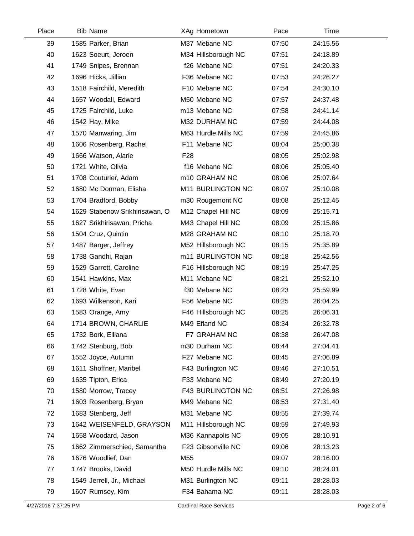| Place | <b>Bib Name</b>                | XAg Hometown        | Pace  | Time     |  |
|-------|--------------------------------|---------------------|-------|----------|--|
| 39    | 1585 Parker, Brian             | M37 Mebane NC       | 07:50 | 24:15.56 |  |
| 40    | 1623 Soeurt, Jeroen            | M34 Hillsborough NC | 07:51 | 24:18.89 |  |
| 41    | 1749 Snipes, Brennan           | f26 Mebane NC       | 07:51 | 24:20.33 |  |
| 42    | 1696 Hicks, Jillian            | F36 Mebane NC       | 07:53 | 24:26.27 |  |
| 43    | 1518 Fairchild, Meredith       | F10 Mebane NC       | 07:54 | 24:30.10 |  |
| 44    | 1657 Woodall, Edward           | M50 Mebane NC       | 07:57 | 24:37.48 |  |
| 45    | 1725 Fairchild, Luke           | m13 Mebane NC       | 07:58 | 24:41.14 |  |
| 46    | 1542 Hay, Mike                 | M32 DURHAM NC       | 07:59 | 24:44.08 |  |
| 47    | 1570 Manwaring, Jim            | M63 Hurdle Mills NC | 07:59 | 24:45.86 |  |
| 48    | 1606 Rosenberg, Rachel         | F11 Mebane NC       | 08:04 | 25:00.38 |  |
| 49    | 1666 Watson, Alarie            | F <sub>28</sub>     | 08:05 | 25:02.98 |  |
| 50    | 1721 White, Olivia             | f16 Mebane NC       | 08:06 | 25:05.40 |  |
| 51    | 1708 Couturier, Adam           | m10 GRAHAM NC       | 08:06 | 25:07.64 |  |
| 52    | 1680 Mc Dorman, Elisha         | M11 BURLINGTON NC   | 08:07 | 25:10.08 |  |
| 53    | 1704 Bradford, Bobby           | m30 Rougemont NC    | 08:08 | 25:12.45 |  |
| 54    | 1629 Stabenow Srikhirisawan, O | M12 Chapel Hill NC  | 08:09 | 25:15.71 |  |
| 55    | 1627 Srikhirisawan, Pricha     | M43 Chapel Hill NC  | 08:09 | 25:15.86 |  |
| 56    | 1504 Cruz, Quintin             | M28 GRAHAM NC       | 08:10 | 25:18.70 |  |
| 57    | 1487 Barger, Jeffrey           | M52 Hillsborough NC | 08:15 | 25:35.89 |  |
| 58    | 1738 Gandhi, Rajan             | m11 BURLINGTON NC   | 08:18 | 25:42.56 |  |
| 59    | 1529 Garrett, Caroline         | F16 Hillsborough NC | 08:19 | 25:47.25 |  |
| 60    | 1541 Hawkins, Max              | M11 Mebane NC       | 08:21 | 25:52.10 |  |
| 61    | 1728 White, Evan               | f30 Mebane NC       | 08:23 | 25:59.99 |  |
| 62    | 1693 Wilkenson, Kari           | F56 Mebane NC       | 08:25 | 26:04.25 |  |
| 63    | 1583 Orange, Amy               | F46 Hillsborough NC | 08:25 | 26:06.31 |  |
| 64    | 1714 BROWN, CHARLIE            | M49 Efland NC       | 08:34 | 26:32.78 |  |
| 65    | 1732 Bork, Elliana             | F7 GRAHAM NC        | 08:38 | 26:47.08 |  |
| 66    | 1742 Stenburg, Bob             | m30 Durham NC       | 08:44 | 27:04.41 |  |
| 67    | 1552 Joyce, Autumn             | F27 Mebane NC       | 08:45 | 27:06.89 |  |
| 68    | 1611 Shoffner, Maribel         | F43 Burlington NC   | 08:46 | 27:10.51 |  |
| 69    | 1635 Tipton, Erica             | F33 Mebane NC       | 08:49 | 27:20.19 |  |
| 70    | 1580 Morrow, Tracey            | F43 BURLINGTON NC   | 08:51 | 27:26.98 |  |
| 71    | 1603 Rosenberg, Bryan          | M49 Mebane NC       | 08:53 | 27:31.40 |  |
| 72    | 1683 Stenberg, Jeff            | M31 Mebane NC       | 08:55 | 27:39.74 |  |
| 73    | 1642 WEISENFELD, GRAYSON       | M11 Hillsborough NC | 08:59 | 27:49.93 |  |
| 74    | 1658 Woodard, Jason            | M36 Kannapolis NC   | 09:05 | 28:10.91 |  |
| 75    | 1662 Zimmerschied, Samantha    | F23 Gibsonville NC  | 09:06 | 28:13.23 |  |
| 76    | 1676 Woodlief, Dan             | M55                 | 09:07 | 28:16.00 |  |
| 77    | 1747 Brooks, David             | M50 Hurdle Mills NC | 09:10 | 28:24.01 |  |
| 78    | 1549 Jerrell, Jr., Michael     | M31 Burlington NC   | 09:11 | 28:28.03 |  |
| 79    | 1607 Rumsey, Kim               | F34 Bahama NC       | 09:11 | 28:28.03 |  |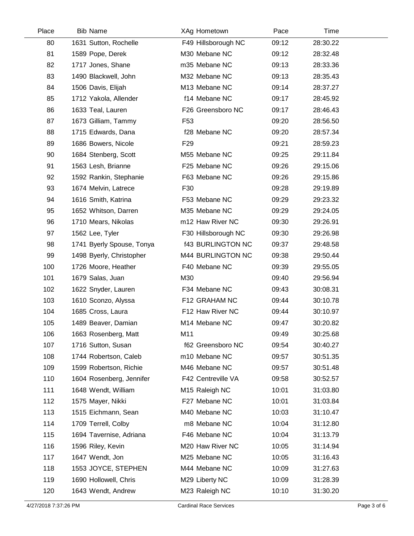| Place | <b>Bib Name</b>           | XAg Hometown             | Pace  | Time     |  |
|-------|---------------------------|--------------------------|-------|----------|--|
| 80    | 1631 Sutton, Rochelle     | F49 Hillsborough NC      | 09:12 | 28:30.22 |  |
| 81    | 1589 Pope, Derek          | M30 Mebane NC            | 09:12 | 28:32.48 |  |
| 82    | 1717 Jones, Shane         | m35 Mebane NC            | 09:13 | 28:33.36 |  |
| 83    | 1490 Blackwell, John      | M32 Mebane NC            | 09:13 | 28:35.43 |  |
| 84    | 1506 Davis, Elijah        | M13 Mebane NC            | 09:14 | 28:37.27 |  |
| 85    | 1712 Yakola, Allender     | f14 Mebane NC            | 09:17 | 28:45.92 |  |
| 86    | 1633 Teal, Lauren         | F26 Greensboro NC        | 09:17 | 28:46.43 |  |
| 87    | 1673 Gilliam, Tammy       | F <sub>53</sub>          | 09:20 | 28:56.50 |  |
| 88    | 1715 Edwards, Dana        | f28 Mebane NC            | 09:20 | 28:57.34 |  |
| 89    | 1686 Bowers, Nicole       | F <sub>29</sub>          | 09:21 | 28:59.23 |  |
| 90    | 1684 Stenberg, Scott      | M55 Mebane NC            | 09:25 | 29:11.84 |  |
| 91    | 1563 Lesh, Brianne        | F25 Mebane NC            | 09:26 | 29:15.06 |  |
| 92    | 1592 Rankin, Stephanie    | F63 Mebane NC            | 09:26 | 29:15.86 |  |
| 93    | 1674 Melvin, Latrece      | F30                      | 09:28 | 29:19.89 |  |
| 94    | 1616 Smith, Katrina       | F53 Mebane NC            | 09:29 | 29:23.32 |  |
| 95    | 1652 Whitson, Darren      | M35 Mebane NC            | 09:29 | 29:24.05 |  |
| 96    | 1710 Mears, Nikolas       | m12 Haw River NC         | 09:30 | 29:26.91 |  |
| 97    | 1562 Lee, Tyler           | F30 Hillsborough NC      | 09:30 | 29:26.98 |  |
| 98    | 1741 Byerly Spouse, Tonya | <b>f43 BURLINGTON NC</b> | 09:37 | 29:48.58 |  |
| 99    | 1498 Byerly, Christopher  | M44 BURLINGTON NC        | 09:38 | 29:50.44 |  |
| 100   | 1726 Moore, Heather       | F40 Mebane NC            | 09:39 | 29:55.05 |  |
| 101   | 1679 Salas, Juan          | M30                      | 09:40 | 29:56.94 |  |
| 102   | 1622 Snyder, Lauren       | F34 Mebane NC            | 09:43 | 30:08.31 |  |
| 103   | 1610 Sconzo, Alyssa       | F12 GRAHAM NC            | 09:44 | 30:10.78 |  |
| 104   | 1685 Cross, Laura         | F12 Haw River NC         | 09:44 | 30:10.97 |  |
| 105   | 1489 Beaver, Damian       | M14 Mebane NC            | 09:47 | 30:20.82 |  |
| 106   | 1663 Rosenberg, Matt      | M11                      | 09:49 | 30:25.68 |  |
| 107   | 1716 Sutton, Susan        | f62 Greensboro NC        | 09:54 | 30:40.27 |  |
| 108   | 1744 Robertson, Caleb     | m10 Mebane NC            | 09:57 | 30:51.35 |  |
| 109   | 1599 Robertson, Richie    | M46 Mebane NC            | 09:57 | 30:51.48 |  |
| 110   | 1604 Rosenberg, Jennifer  | F42 Centreville VA       | 09:58 | 30:52.57 |  |
| 111   | 1648 Wendt, William       | M15 Raleigh NC           | 10:01 | 31:03.80 |  |
| 112   | 1575 Mayer, Nikki         | F27 Mebane NC            | 10:01 | 31:03.84 |  |
| 113   | 1515 Eichmann, Sean       | M40 Mebane NC            | 10:03 | 31:10.47 |  |
| 114   | 1709 Terrell, Colby       | m8 Mebane NC             | 10:04 | 31:12.80 |  |
| 115   | 1694 Tavernise, Adriana   | F46 Mebane NC            | 10:04 | 31:13.79 |  |
| 116   | 1596 Riley, Kevin         | M20 Haw River NC         | 10:05 | 31:14.94 |  |
| 117   | 1647 Wendt, Jon           | M25 Mebane NC            | 10:05 | 31:16.43 |  |
| 118   | 1553 JOYCE, STEPHEN       | M44 Mebane NC            | 10:09 | 31:27.63 |  |
| 119   | 1690 Hollowell, Chris     | M29 Liberty NC           | 10:09 | 31:28.39 |  |
| 120   | 1643 Wendt, Andrew        | M23 Raleigh NC           | 10:10 | 31:30.20 |  |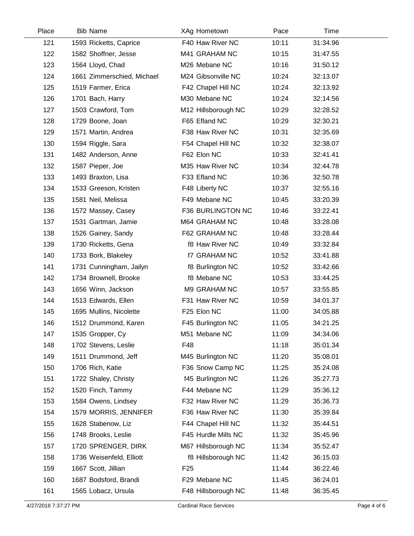| Place | <b>Bib Name</b>            | XAg Hometown        | Pace  | Time     |  |
|-------|----------------------------|---------------------|-------|----------|--|
| 121   | 1593 Ricketts, Caprice     | F40 Haw River NC    | 10:11 | 31:34.96 |  |
| 122   | 1582 Shoffner, Jesse       | M41 GRAHAM NC       | 10:15 | 31:47.55 |  |
| 123   | 1564 Lloyd, Chad           | M26 Mebane NC       | 10:16 | 31:50.12 |  |
| 124   | 1661 Zimmerschied, Michael | M24 Gibsonville NC  | 10:24 | 32:13.07 |  |
| 125   | 1519 Farmer, Erica         | F42 Chapel Hill NC  | 10:24 | 32:13.92 |  |
| 126   | 1701 Bach, Harry           | M30 Mebane NC       | 10:24 | 32:14.56 |  |
| 127   | 1503 Crawford, Tom         | M12 Hillsborough NC | 10:29 | 32:28.52 |  |
| 128   | 1729 Boone, Joan           | F65 Efland NC       | 10:29 | 32:30.21 |  |
| 129   | 1571 Martin, Andrea        | F38 Haw River NC    | 10:31 | 32:35.69 |  |
| 130   | 1594 Riggle, Sara          | F54 Chapel Hill NC  | 10:32 | 32:38.07 |  |
| 131   | 1482 Anderson, Anne        | F62 Elon NC         | 10:33 | 32:41.41 |  |
| 132   | 1587 Pieper, Joe           | M35 Haw River NC    | 10:34 | 32:44.78 |  |
| 133   | 1493 Braxton, Lisa         | F33 Efland NC       | 10:36 | 32:50.78 |  |
| 134   | 1533 Greeson, Kristen      | F48 Liberty NC      | 10:37 | 32:55.16 |  |
| 135   | 1581 Neil, Melissa         | F49 Mebane NC       | 10:45 | 33:20.39 |  |
| 136   | 1572 Massey, Casey         | F36 BURLINGTON NC   | 10:46 | 33:22.41 |  |
| 137   | 1531 Gartman, Jamie        | M64 GRAHAM NC       | 10:48 | 33:28.08 |  |
| 138   | 1526 Gainey, Sandy         | F62 GRAHAM NC       | 10:48 | 33:28.44 |  |
| 139   | 1730 Ricketts, Gena        | f8 Haw River NC     | 10:49 | 33:32.84 |  |
| 140   | 1733 Bork, Blakeley        | <b>f7 GRAHAM NC</b> | 10:52 | 33:41.88 |  |
| 141   | 1731 Cunningham, Jailyn    | f8 Burlington NC    | 10:52 | 33:42.66 |  |
| 142   | 1734 Brownell, Brooke      | f8 Mebane NC        | 10:53 | 33:44.25 |  |
| 143   | 1656 Winn, Jackson         | M9 GRAHAM NC        | 10:57 | 33:55.85 |  |
| 144   | 1513 Edwards, Ellen        | F31 Haw River NC    | 10:59 | 34:01.37 |  |
| 145   | 1695 Mullins, Nicolette    | F25 Elon NC         | 11:00 | 34:05.88 |  |
| 146   | 1512 Drummond, Karen       | F45 Burlington NC   | 11:05 | 34:21.25 |  |
| 147   | 1535 Gropper, Cy           | M51 Mebane NC       | 11:09 | 34:34.06 |  |
| 148   | 1702 Stevens, Leslie       | F48                 | 11:18 | 35:01.34 |  |
| 149   | 1511 Drummond, Jeff        | M45 Burlington NC   | 11:20 | 35:08.01 |  |
| 150   | 1706 Rich, Katie           | F36 Snow Camp NC    | 11:25 | 35:24.08 |  |
| 151   | 1722 Shaley, Christy       | f45 Burlington NC   | 11:26 | 35:27.73 |  |
| 152   | 1520 Finch, Tammy          | F44 Mebane NC       | 11:29 | 35:36.12 |  |
| 153   | 1584 Owens, Lindsey        | F32 Haw River NC    | 11:29 | 35:36.73 |  |
| 154   | 1579 MORRIS, JENNIFER      | F36 Haw River NC    | 11:30 | 35:39.84 |  |
| 155   | 1628 Stabenow, Liz         | F44 Chapel Hill NC  | 11:32 | 35:44.51 |  |
| 156   | 1748 Brooks, Leslie        | F45 Hurdle Mills NC | 11:32 | 35:45.96 |  |
| 157   | 1720 SPRENGER, DIRK        | M67 Hillsborough NC | 11:34 | 35:52.47 |  |
| 158   | 1736 Weisenfeld, Elliott   | f8 Hillsborough NC  | 11:42 | 36:15.03 |  |
| 159   | 1667 Scott, Jillian        | F <sub>25</sub>     | 11:44 | 36:22.46 |  |
| 160   | 1687 Bodsford, Brandi      | F29 Mebane NC       | 11:45 | 36:24.01 |  |
| 161   | 1565 Lobacz, Ursula        | F48 Hillsborough NC | 11:48 | 36:35.45 |  |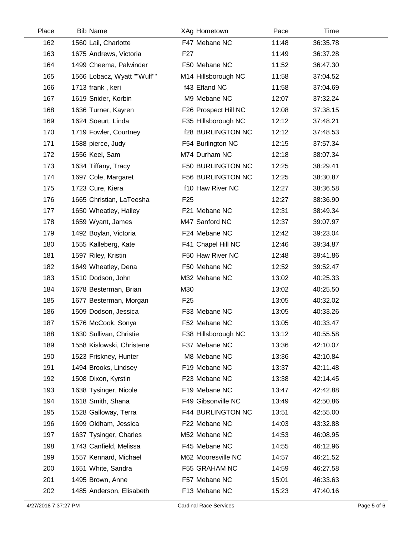| Place | <b>Bib Name</b>             | XAg Hometown             | Pace  | Time     |  |
|-------|-----------------------------|--------------------------|-------|----------|--|
| 162   | 1560 Lail, Charlotte        | F47 Mebane NC            | 11:48 | 36:35.78 |  |
| 163   | 1675 Andrews, Victoria      | F <sub>27</sub>          | 11:49 | 36:37.28 |  |
| 164   | 1499 Cheema, Palwinder      | F50 Mebane NC            | 11:52 | 36:47.30 |  |
| 165   | 1566 Lobacz, Wyatt ""Wulf"" | M14 Hillsborough NC      | 11:58 | 37:04.52 |  |
| 166   | 1713 frank, keri            | f43 Efland NC            | 11:58 | 37:04.69 |  |
| 167   | 1619 Snider, Korbin         | M9 Mebane NC             | 12:07 | 37:32.24 |  |
| 168   | 1636 Turner, Kayren         | F26 Prospect Hill NC     | 12:08 | 37:38.15 |  |
| 169   | 1624 Soeurt, Linda          | F35 Hillsborough NC      | 12:12 | 37:48.21 |  |
| 170   | 1719 Fowler, Courtney       | <b>f28 BURLINGTON NC</b> | 12:12 | 37:48.53 |  |
| 171   | 1588 pierce, Judy           | F54 Burlington NC        | 12:15 | 37:57.34 |  |
| 172   | 1556 Keel, Sam              | M74 Durham NC            | 12:18 | 38:07.34 |  |
| 173   | 1634 Tiffany, Tracy         | F50 BURLINGTON NC        | 12:25 | 38:29.41 |  |
| 174   | 1697 Cole, Margaret         | <b>F56 BURLINGTON NC</b> | 12:25 | 38:30.87 |  |
| 175   | 1723 Cure, Kiera            | f10 Haw River NC         | 12:27 | 38:36.58 |  |
| 176   | 1665 Christian, LaTeesha    | F <sub>25</sub>          | 12:27 | 38:36.90 |  |
| 177   | 1650 Wheatley, Hailey       | F21 Mebane NC            | 12:31 | 38:49.34 |  |
| 178   | 1659 Wyant, James           | M47 Sanford NC           | 12:37 | 39:07.97 |  |
| 179   | 1492 Boylan, Victoria       | F24 Mebane NC            | 12:42 | 39:23.04 |  |
| 180   | 1555 Kalleberg, Kate        | F41 Chapel Hill NC       | 12:46 | 39:34.87 |  |
| 181   | 1597 Riley, Kristin         | F50 Haw River NC         | 12:48 | 39:41.86 |  |
| 182   | 1649 Wheatley, Dena         | F50 Mebane NC            | 12:52 | 39:52.47 |  |
| 183   | 1510 Dodson, John           | M32 Mebane NC            | 13:02 | 40:25.33 |  |
| 184   | 1678 Besterman, Brian       | M30                      | 13:02 | 40:25.50 |  |
| 185   | 1677 Besterman, Morgan      | F <sub>25</sub>          | 13:05 | 40:32.02 |  |
| 186   | 1509 Dodson, Jessica        | F33 Mebane NC            | 13:05 | 40:33.26 |  |
| 187   | 1576 McCook, Sonya          | F52 Mebane NC            | 13:05 | 40:33.47 |  |
| 188   | 1630 Sullivan, Christie     | F38 Hillsborough NC      | 13:12 | 40:55.58 |  |
| 189   | 1558 Kislowski, Christene   | F37 Mebane NC            | 13:36 | 42:10.07 |  |
| 190   | 1523 Friskney, Hunter       | M8 Mebane NC             | 13:36 | 42:10.84 |  |
| 191   | 1494 Brooks, Lindsey        | F19 Mebane NC            | 13:37 | 42:11.48 |  |
| 192   | 1508 Dixon, Kyrstin         | F23 Mebane NC            | 13:38 | 42:14.45 |  |
| 193   | 1638 Tysinger, Nicole       | F19 Mebane NC            | 13:47 | 42:42.88 |  |
| 194   | 1618 Smith, Shana           | F49 Gibsonville NC       | 13:49 | 42:50.86 |  |
| 195   | 1528 Galloway, Terra        | F44 BURLINGTON NC        | 13:51 | 42:55.00 |  |
| 196   | 1699 Oldham, Jessica        | F22 Mebane NC            | 14:03 | 43:32.88 |  |
| 197   | 1637 Tysinger, Charles      | M52 Mebane NC            | 14:53 | 46:08.95 |  |
| 198   | 1743 Canfield, Melissa      | F45 Mebane NC            | 14:55 | 46:12.96 |  |
| 199   | 1557 Kennard, Michael       | M62 Mooresville NC       | 14:57 | 46:21.52 |  |
| 200   | 1651 White, Sandra          | F55 GRAHAM NC            | 14:59 | 46:27.58 |  |
| 201   | 1495 Brown, Anne            | F57 Mebane NC            | 15:01 | 46:33.63 |  |
| 202   | 1485 Anderson, Elisabeth    | F13 Mebane NC            | 15:23 | 47:40.16 |  |